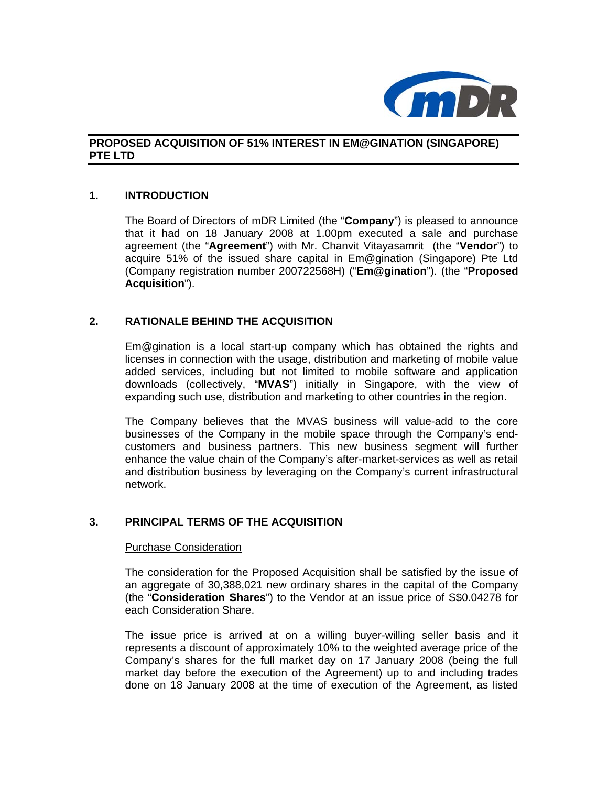

# **PROPOSED ACQUISITION OF 51% INTEREST IN EM@GINATION (SINGAPORE) PTE LTD**

### **1. INTRODUCTION**

The Board of Directors of mDR Limited (the "**Company**") is pleased to announce that it had on 18 January 2008 at 1.00pm executed a sale and purchase agreement (the "**Agreement**") with Mr. Chanvit Vitayasamrit (the "**Vendor**") to acquire 51% of the issued share capital in Em@gination (Singapore) Pte Ltd (Company registration number 200722568H) ("**Em@gination**"). (the "**Proposed Acquisition**").

## **2. RATIONALE BEHIND THE ACQUISITION**

Em@gination is a local start-up company which has obtained the rights and licenses in connection with the usage, distribution and marketing of mobile value added services, including but not limited to mobile software and application downloads (collectively, "**MVAS**") initially in Singapore, with the view of expanding such use, distribution and marketing to other countries in the region.

The Company believes that the MVAS business will value-add to the core businesses of the Company in the mobile space through the Company's endcustomers and business partners. This new business segment will further enhance the value chain of the Company's after-market-services as well as retail and distribution business by leveraging on the Company's current infrastructural network.

## **3. PRINCIPAL TERMS OF THE ACQUISITION**

#### Purchase Consideration

The consideration for the Proposed Acquisition shall be satisfied by the issue of an aggregate of 30,388,021 new ordinary shares in the capital of the Company (the "**Consideration Shares**") to the Vendor at an issue price of S\$0.04278 for each Consideration Share.

The issue price is arrived at on a willing buyer-willing seller basis and it represents a discount of approximately 10% to the weighted average price of the Company's shares for the full market day on 17 January 2008 (being the full market day before the execution of the Agreement) up to and including trades done on 18 January 2008 at the time of execution of the Agreement, as listed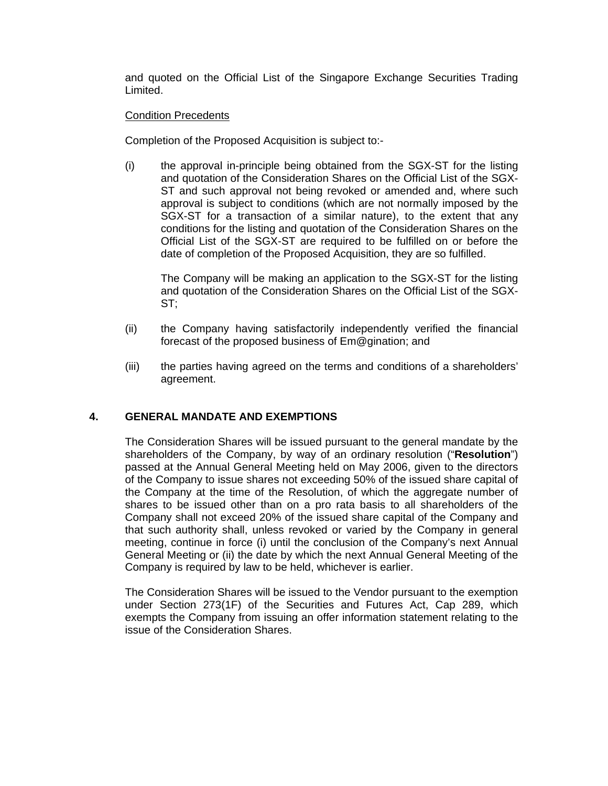and quoted on the Official List of the Singapore Exchange Securities Trading Limited.

### Condition Precedents

Completion of the Proposed Acquisition is subject to:-

(i) the approval in-principle being obtained from the SGX-ST for the listing and quotation of the Consideration Shares on the Official List of the SGX-ST and such approval not being revoked or amended and, where such approval is subject to conditions (which are not normally imposed by the SGX-ST for a transaction of a similar nature), to the extent that any conditions for the listing and quotation of the Consideration Shares on the Official List of the SGX-ST are required to be fulfilled on or before the date of completion of the Proposed Acquisition, they are so fulfilled.

The Company will be making an application to the SGX-ST for the listing and quotation of the Consideration Shares on the Official List of the SGX-ST;

- (ii) the Company having satisfactorily independently verified the financial forecast of the proposed business of Em@gination; and
- (iii) the parties having agreed on the terms and conditions of a shareholders' agreement.

### **4. GENERAL MANDATE AND EXEMPTIONS**

The Consideration Shares will be issued pursuant to the general mandate by the shareholders of the Company, by way of an ordinary resolution ("**Resolution**") passed at the Annual General Meeting held on May 2006, given to the directors of the Company to issue shares not exceeding 50% of the issued share capital of the Company at the time of the Resolution, of which the aggregate number of shares to be issued other than on a pro rata basis to all shareholders of the Company shall not exceed 20% of the issued share capital of the Company and that such authority shall, unless revoked or varied by the Company in general meeting, continue in force (i) until the conclusion of the Company's next Annual General Meeting or (ii) the date by which the next Annual General Meeting of the Company is required by law to be held, whichever is earlier.

The Consideration Shares will be issued to the Vendor pursuant to the exemption under Section 273(1F) of the Securities and Futures Act, Cap 289, which exempts the Company from issuing an offer information statement relating to the issue of the Consideration Shares.